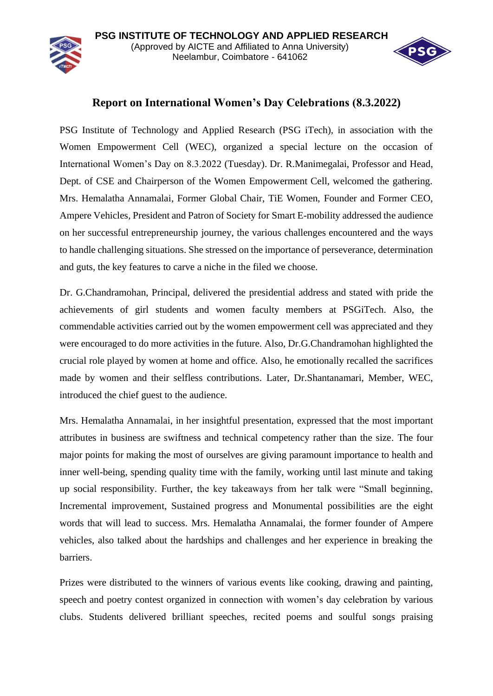

## **Report on International Women's Day Celebrations (8.3.2022)**

PSG Institute of Technology and Applied Research (PSG iTech), in association with the Women Empowerment Cell (WEC), organized a special lecture on the occasion of International Women's Day on 8.3.2022 (Tuesday). Dr. R.Manimegalai, Professor and Head, Dept. of CSE and Chairperson of the Women Empowerment Cell, welcomed the gathering. Mrs. Hemalatha Annamalai, Former Global Chair, TiE Women, Founder and Former CEO, Ampere Vehicles, President and Patron of Society for Smart E-mobility addressed the audience on her successful entrepreneurship journey, the various challenges encountered and the ways to handle challenging situations. She stressed on the importance of perseverance, determination and guts, the key features to carve a niche in the filed we choose.

Dr. G.Chandramohan, Principal, delivered the presidential address and stated with pride the achievements of girl students and women faculty members at PSGiTech. Also, the commendable activities carried out by the women empowerment cell was appreciated and they were encouraged to do more activities in the future. Also, Dr.G.Chandramohan highlighted the crucial role played by women at home and office. Also, he emotionally recalled the sacrifices made by women and their selfless contributions. Later, Dr.Shantanamari, Member, WEC, introduced the chief guest to the audience.

Mrs. Hemalatha Annamalai, in her insightful presentation, expressed that the most important attributes in business are swiftness and technical competency rather than the size. The four major points for making the most of ourselves are giving paramount importance to health and inner well-being, spending quality time with the family, working until last minute and taking up social responsibility. Further, the key takeaways from her talk were "Small beginning, Incremental improvement, Sustained progress and Monumental possibilities are the eight words that will lead to success. Mrs. Hemalatha Annamalai, the former founder of Ampere vehicles, also talked about the hardships and challenges and her experience in breaking the barriers.

Prizes were distributed to the winners of various events like cooking, drawing and painting, speech and poetry contest organized in connection with women's day celebration by various clubs. Students delivered brilliant speeches, recited poems and soulful songs praising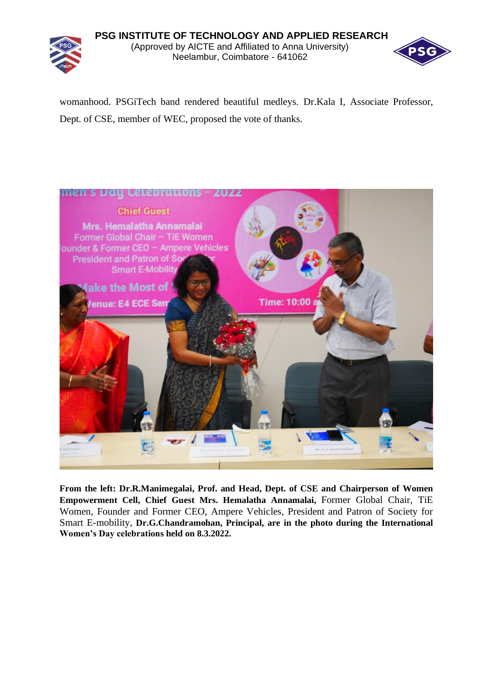## **PSG INSTITUTE OF TECHNOLOGY AND APPLIED RESEARCH** (Approved by AICTE and Affiliated to Anna University) Neelambur, Coimbatore - 641062



womanhood. PSGiTech band rendered beautiful medleys. Dr.Kala I, Associate Professor, Dept. of CSE, member of WEC, proposed the vote of thanks.



**From the left: Dr.R.Manimegalai, Prof. and Head, Dept. of CSE and Chairperson of Women Empowerment Cell, Chief Guest Mrs. Hemalatha Annamalai,** Former Global Chair, TiE Women, Founder and Former CEO, Ampere Vehicles, President and Patron of Society for Smart E-mobility, **Dr.G.Chandramohan, Principal, are in the photo during the International Women's Day celebrations held on 8.3.2022.**